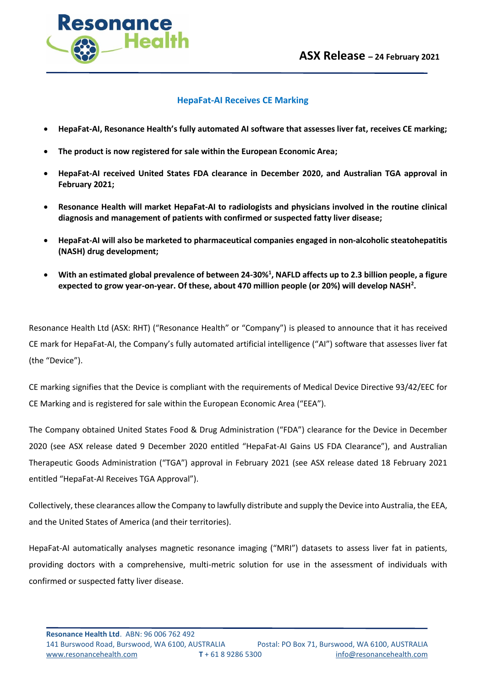

## **HepaFat-AI Receives CE Marking**

- **HepaFat-AI, Resonance Health's fully automated AI software that assesses liver fat, receives CE marking;**
- **The product is now registered for sale within the European Economic Area;**
- **HepaFat-AI received United States FDA clearance in December 2020, and Australian TGA approval in February 2021;**
- **Resonance Health will market HepaFat-AI to radiologists and physicians involved in the routine clinical diagnosis and management of patients with confirmed or suspected fatty liver disease;**
- **HepaFat-AI will also be marketed to pharmaceutical companies engaged in non-alcoholic steatohepatitis (NASH) drug development;**
- **With an estimated global prevalence of between 24-30%<sup>1</sup> , NAFLD affects up to 2.3 billion people, a figure expected to grow year-on-year. Of these, about 470 million people (or 20%) will develop NASH<sup>2</sup> .**

Resonance Health Ltd (ASX: RHT) ("Resonance Health" or "Company") is pleased to announce that it has received CE mark for HepaFat-AI, the Company's fully automated artificial intelligence ("AI") software that assesses liver fat (the "Device").

CE marking signifies that the Device is compliant with the requirements of Medical Device Directive 93/42/EEC for CE Marking and is registered for sale within the European Economic Area ("EEA").

The Company obtained United States Food & Drug Administration ("FDA") clearance for the Device in December 2020 (see ASX release dated 9 December 2020 entitled "HepaFat-AI Gains US FDA Clearance"), and Australian Therapeutic Goods Administration ("TGA") approval in February 2021 (see ASX release dated 18 February 2021 entitled "HepaFat-AI Receives TGA Approval").

Collectively, these clearances allow the Company to lawfully distribute and supply the Device into Australia, the EEA, and the United States of America (and their territories).

HepaFat-AI automatically analyses magnetic resonance imaging ("MRI") datasets to assess liver fat in patients, providing doctors with a comprehensive, multi-metric solution for use in the assessment of individuals with confirmed or suspected fatty liver disease.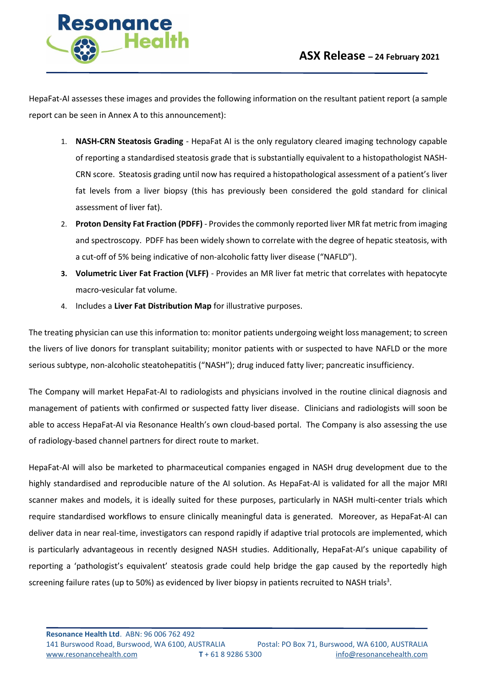

HepaFat-AI assesses these images and provides the following information on the resultant patient report (a sample report can be seen in Annex A to this announcement):

- 1. **NASH-CRN Steatosis Grading** HepaFat AI is the only regulatory cleared imaging technology capable of reporting a standardised steatosis grade that is substantially equivalent to a histopathologist NASH-CRN score. Steatosis grading until now has required a histopathological assessment of a patient's liver fat levels from a liver biopsy (this has previously been considered the gold standard for clinical assessment of liver fat).
- 2. **Proton Density Fat Fraction (PDFF)** Provides the commonly reported liver MR fat metric from imaging and spectroscopy. PDFF has been widely shown to correlate with the degree of hepatic steatosis, with a cut-off of 5% being indicative of non-alcoholic fatty liver disease ("NAFLD").
- **3. Volumetric Liver Fat Fraction (VLFF)**  Provides an MR liver fat metric that correlates with hepatocyte macro-vesicular fat volume.
- 4. Includes a **Liver Fat Distribution Map** for illustrative purposes.

The treating physician can use this information to: monitor patients undergoing weight loss management; to screen the livers of live donors for transplant suitability; monitor patients with or suspected to have NAFLD or the more serious subtype, non-alcoholic steatohepatitis ("NASH"); drug induced fatty liver; pancreatic insufficiency.

The Company will market HepaFat-AI to radiologists and physicians involved in the routine clinical diagnosis and management of patients with confirmed or suspected fatty liver disease. Clinicians and radiologists will soon be able to access HepaFat-AI via Resonance Health's own cloud-based portal. The Company is also assessing the use of radiology-based channel partners for direct route to market.

HepaFat-AI will also be marketed to pharmaceutical companies engaged in NASH drug development due to the highly standardised and reproducible nature of the AI solution. As HepaFat-AI is validated for all the major MRI scanner makes and models, it is ideally suited for these purposes, particularly in NASH multi-center trials which require standardised workflows to ensure clinically meaningful data is generated. Moreover, as HepaFat-AI can deliver data in near real-time, investigators can respond rapidly if adaptive trial protocols are implemented, which is particularly advantageous in recently designed NASH studies. Additionally, HepaFat-AI's unique capability of reporting a 'pathologist's equivalent' steatosis grade could help bridge the gap caused by the reportedly high screening failure rates (up to 50%) as evidenced by liver biopsy in patients recruited to NASH trials<sup>3</sup>.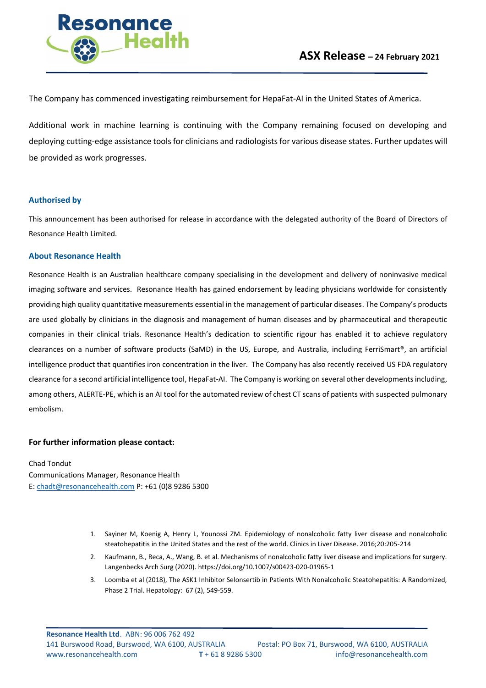

The Company has commenced investigating reimbursement for HepaFat-AI in the United States of America.

Additional work in machine learning is continuing with the Company remaining focused on developing and deploying cutting-edge assistance tools for clinicians and radiologists for various disease states. Further updates will be provided as work progresses.

#### **Authorised by**

This announcement has been authorised for release in accordance with the delegated authority of the Board of Directors of Resonance Health Limited.

#### **About Resonance Health**

Resonance Health is an Australian healthcare company specialising in the development and delivery of noninvasive medical imaging software and services. Resonance Health has gained endorsement by leading physicians worldwide for consistently providing high quality quantitative measurements essential in the management of particular diseases. The Company's products are used globally by clinicians in the diagnosis and management of human diseases and by pharmaceutical and therapeutic companies in their clinical trials. Resonance Health's dedication to scientific rigour has enabled it to achieve regulatory clearances on a number of software products (SaMD) in the US, Europe, and Australia, including FerriSmart®, an artificial intelligence product that quantifies iron concentration in the liver. The Company has also recently received US FDA regulatory clearance for a second artificial intelligence tool, HepaFat-AI. The Company is working on several other developments including, among others, ALERTE-PE, which is an AI tool for the automated review of chest CT scans of patients with suspected pulmonary embolism.

### **For further information please contact:**

Chad Tondut Communications Manager, Resonance Health E: [chadt@resonancehealth.com](mailto:chadt@resonancehealth.com) P: +61 (0)8 9286 5300

- 1. Sayiner M, Koenig A, Henry L, Younossi ZM. Epidemiology of nonalcoholic fatty liver disease and nonalcoholic steatohepatitis in the United States and the rest of the world. Clinics in Liver Disease. 2016;20:205-214
- 2. Kaufmann, B., Reca, A., Wang, B. et al. Mechanisms of nonalcoholic fatty liver disease and implications for surgery. Langenbecks Arch Surg (2020).<https://doi.org/10.1007/s00423-020-01965-1>
- 3. Loomba et al (2018), The ASK1 Inhibitor Selonsertib in Patients With Nonalcoholic Steatohepatitis: A Randomized, Phase 2 Trial. Hepatology: 67 (2), 549-559.